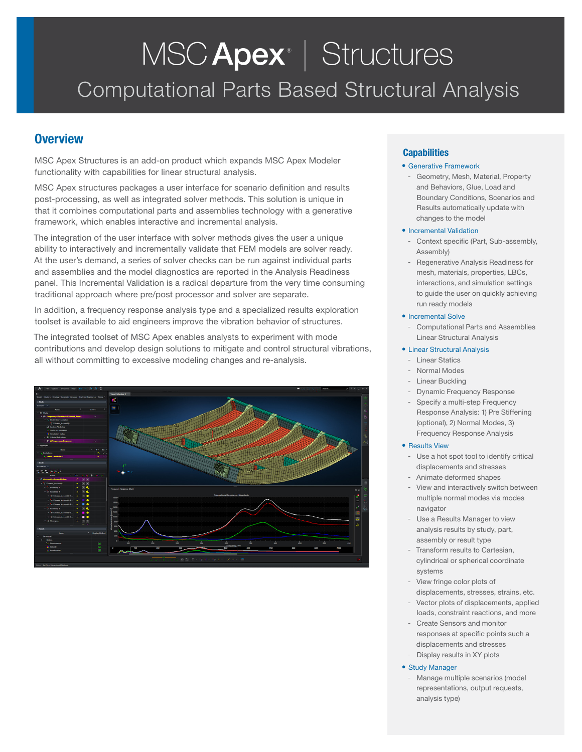# Computational Parts Based Structural Analysis MSC Apex<sup>®</sup> | Structures

# **Overview**

MSC Apex Structures is an add-on product which expands MSC Apex Modeler functionality with capabilities for linear structural analysis.

MSC Apex structures packages a user interface for scenario definition and results post-processing, as well as integrated solver methods. This solution is unique in that it combines computational parts and assemblies technology with a generative framework, which enables interactive and incremental analysis.

The integration of the user interface with solver methods gives the user a unique ability to interactively and incrementally validate that FEM models are solver ready. At the user's demand, a series of solver checks can be run against individual parts and assemblies and the model diagnostics are reported in the Analysis Readiness panel. This Incremental Validation is a radical departure from the very time consuming traditional approach where pre/post processor and solver are separate.

In addition, a frequency response analysis type and a specialized results exploration toolset is available to aid engineers improve the vibration behavior of structures.

The integrated toolset of MSC Apex enables analysts to experiment with mode contributions and develop design solutions to mitigate and control structural vibrations, all without committing to excessive modeling changes and re-analysis.



# **Capabilities**

# • Generative Framework

- Geometry, Mesh, Material, Property and Behaviors, Glue, Load and Boundary Conditions, Scenarios and Results automatically update with changes to the model

### • Incremental Validation

- Context specific (Part, Sub-assembly, Assembly)
- Regenerative Analysis Readiness for mesh, materials, properties, LBCs, interactions, and simulation settings to guide the user on quickly achieving run ready models

### • Incremental Solve

- Computational Parts and Assemblies Linear Structural Analysis

## • Linear Structural Analysis

- Linear Statics
- Normal Modes
- **Linear Buckling**
- Dynamic Frequency Response
- Specify a multi-step Frequency Response Analysis: 1) Pre Stiffening (optional), 2) Normal Modes, 3) Frequency Response Analysis

### • Results View

- Use a hot spot tool to identify critical displacements and stresses
- Animate deformed shapes
- View and interactively switch between multiple normal modes via modes navigator
- Use a Results Manager to view analysis results by study, part, assembly or result type
- Transform results to Cartesian, cylindrical or spherical coordinate systems
- View fringe color plots of displacements, stresses, strains, etc.
- Vector plots of displacements, applied loads, constraint reactions, and more
- Create Sensors and monitor responses at specific points such a displacements and stresses
- Display results in XY plots
- Study Manager
	- Manage multiple scenarios (model representations, output requests, analysis type)